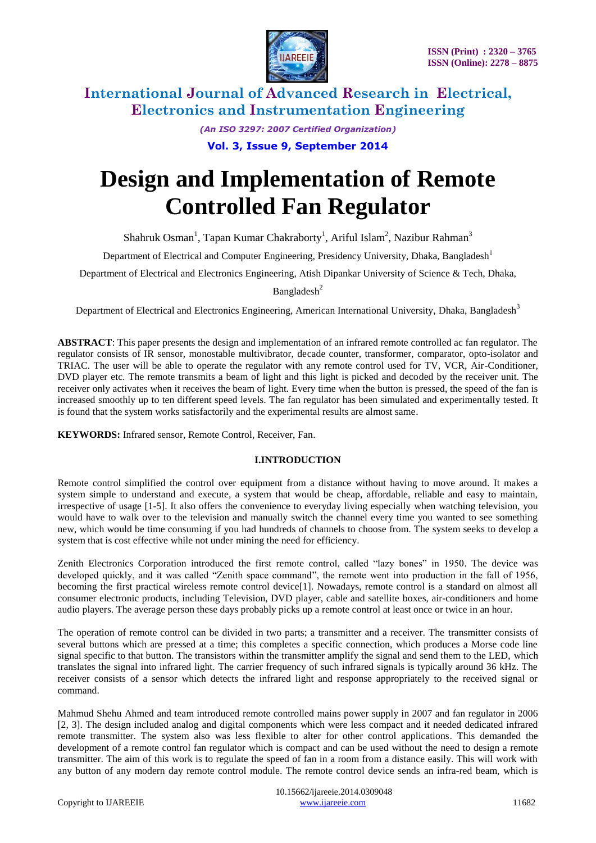

> *(An ISO 3297: 2007 Certified Organization)* **Vol. 3, Issue 9, September 2014**

# **Design and Implementation of Remote Controlled Fan Regulator**

Shahruk Osman<sup>1</sup>, Tapan Kumar Chakraborty<sup>1</sup>, Ariful Islam<sup>2</sup>, Nazibur Rahman<sup>3</sup>

Department of Electrical and Computer Engineering, Presidency University, Dhaka, Bangladesh<sup>1</sup>

Department of Electrical and Electronics Engineering, Atish Dipankar University of Science & Tech, Dhaka,

Bangladesh<sup>2</sup>

Department of Electrical and Electronics Engineering, American International University, Dhaka, Bangladesh<sup>3</sup>

**ABSTRACT**: This paper presents the design and implementation of an infrared remote controlled ac fan regulator. The regulator consists of IR sensor, monostable multivibrator, decade counter, transformer, comparator, opto-isolator and TRIAC. The user will be able to operate the regulator with any remote control used for TV, VCR, Air-Conditioner, DVD player etc. The remote transmits a beam of light and this light is picked and decoded by the receiver unit. The receiver only activates when it receives the beam of light. Every time when the button is pressed, the speed of the fan is increased smoothly up to ten different speed levels. The fan regulator has been simulated and experimentally tested. It is found that the system works satisfactorily and the experimental results are almost same.

**KEYWORDS:** Infrared sensor, Remote Control, Receiver, Fan.

#### **I.INTRODUCTION**

Remote control simplified the control over equipment from a distance without having to move around. It makes a system simple to understand and execute, a system that would be cheap, affordable, reliable and easy to maintain, irrespective of usage [1-5]. It also offers the convenience to everyday living especially when watching television, you would have to walk over to the television and manually switch the channel every time you wanted to see something new, which would be time consuming if you had hundreds of channels to choose from. The system seeks to develop a system that is cost effective while not under mining the need for efficiency.

Zenith Electronics Corporation introduced the first remote control, called "lazy bones" in 1950. The device was developed quickly, and it was called "Zenith space command", the remote went into production in the fall of 1956, becoming the first practical wireless remote control device[1]. Nowadays, remote control is a standard on almost all consumer electronic products, including Television, DVD player, cable and satellite boxes, air-conditioners and home audio players. The average person these days probably picks up a remote control at least once or twice in an hour.

The operation of remote control can be divided in two parts; a transmitter and a receiver. The transmitter consists of several buttons which are pressed at a time; this completes a specific connection, which produces a Morse code line signal specific to that button. The transistors within the transmitter amplify the signal and send them to the LED, which translates the signal into infrared light. The carrier frequency of such infrared signals is typically around 36 kHz. The receiver consists of a sensor which detects the infrared light and response appropriately to the received signal or command.

Mahmud Shehu Ahmed and team introduced remote controlled mains power supply in 2007 and fan regulator in 2006 [2, 3]. The design included analog and digital components which were less compact and it needed dedicated infrared remote transmitter. The system also was less flexible to alter for other control applications. This demanded the development of a remote control fan regulator which is compact and can be used without the need to design a remote transmitter. The aim of this work is to regulate the speed of fan in a room from a distance easily. This will work with any button of any modern day remote control module. The remote control device sends an infra-red beam, which is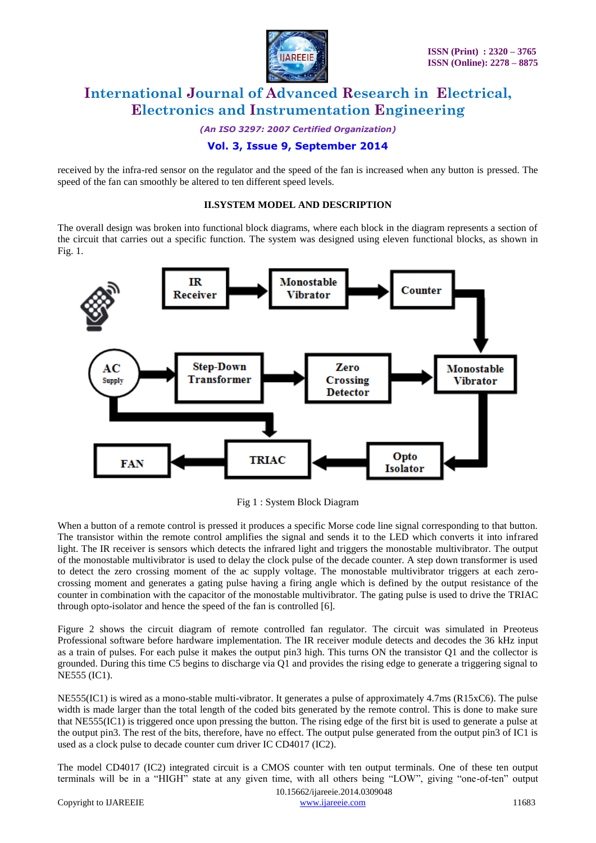

*(An ISO 3297: 2007 Certified Organization)*

### **Vol. 3, Issue 9, September 2014**

received by the infra-red sensor on the regulator and the speed of the fan is increased when any button is pressed. The speed of the fan can smoothly be altered to ten different speed levels.

#### **II.SYSTEM MODEL AND DESCRIPTION**

The overall design was broken into functional block diagrams, where each block in the diagram represents a section of the circuit that carries out a specific function. The system was designed using eleven functional blocks, as shown in Fig. 1.



Fig 1 : System Block Diagram

When a button of a remote control is pressed it produces a specific Morse code line signal corresponding to that button. The transistor within the remote control amplifies the signal and sends it to the LED which converts it into infrared light. The IR receiver is sensors which detects the infrared light and triggers the monostable multivibrator. The output of the monostable multivibrator is used to delay the clock pulse of the decade counter. A step down transformer is used to detect the zero crossing moment of the ac supply voltage. The monostable multivibrator triggers at each zerocrossing moment and generates a gating pulse having a firing angle which is defined by the output resistance of the counter in combination with the capacitor of the monostable multivibrator. The gating pulse is used to drive the TRIAC through opto-isolator and hence the speed of the fan is controlled [6].

Figure 2 shows the circuit diagram of remote controlled fan regulator. The circuit was simulated in Preoteus Professional software before hardware implementation. The IR receiver module detects and decodes the 36 kHz input as a train of pulses. For each pulse it makes the output pin3 high. This turns ON the transistor Q1 and the collector is grounded. During this time C5 begins to discharge via Q1 and provides the rising edge to generate a triggering signal to NE555 (IC1).

NE555(IC1) is wired as a mono-stable multi-vibrator. It generates a pulse of approximately 4.7ms (R15xC6). The pulse width is made larger than the total length of the coded bits generated by the remote control. This is done to make sure that NE555(IC1) is triggered once upon pressing the button. The rising edge of the first bit is used to generate a pulse at the output pin3. The rest of the bits, therefore, have no effect. The output pulse generated from the output pin3 of IC1 is used as a clock pulse to decade counter cum driver IC CD4017 (IC2).

The model CD4017 (IC2) integrated circuit is a CMOS counter with ten output terminals. One of these ten output terminals will be in a "HIGH" state at any given time, with all others being "LOW", giving "one-of-ten" output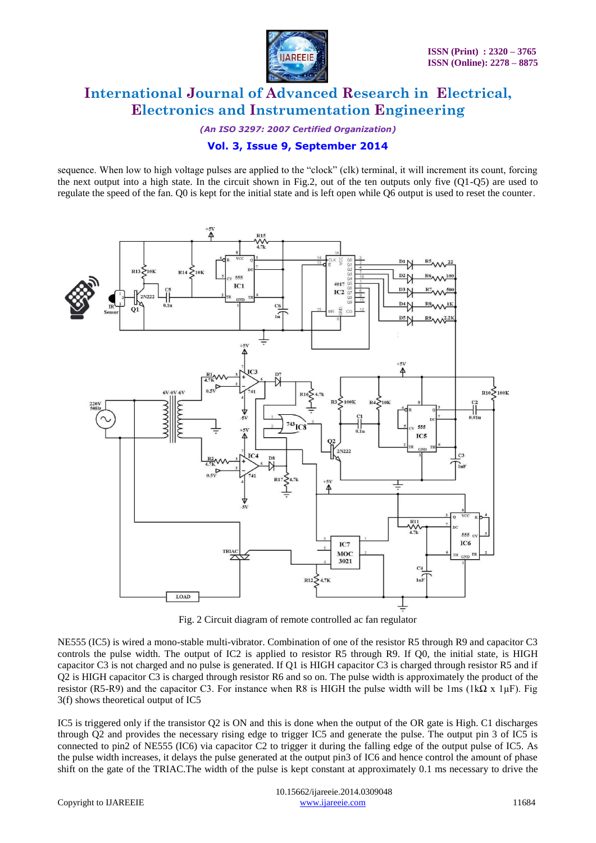

*(An ISO 3297: 2007 Certified Organization)*

### **Vol. 3, Issue 9, September 2014**

sequence. When low to high voltage pulses are applied to the "clock" (clk) terminal, it will increment its count, forcing the next output into a high state. In the circuit shown in Fig.2, out of the ten outputs only five  $(Q1-Q5)$  are used to regulate the speed of the fan. Q0 is kept for the initial state and is left open while Q6 output is used to reset the counter.



Fig. 2 Circuit diagram of remote controlled ac fan regulator

NE555 (IC5) is wired a mono-stable multi-vibrator. Combination of one of the resistor R5 through R9 and capacitor C3 controls the pulse width. The output of IC2 is applied to resistor R5 through R9. If Q0, the initial state, is HIGH capacitor C3 is not charged and no pulse is generated. If Q1 is HIGH capacitor C3 is charged through resistor R5 and if Q2 is HIGH capacitor C3 is charged through resistor R6 and so on. The pulse width is approximately the product of the resistor (R5-R9) and the capacitor C3. For instance when R8 is HIGH the pulse width will be 1ms (1kΩ x 1µF). Fig 3(f) shows theoretical output of IC5

IC5 is triggered only if the transistor Q2 is ON and this is done when the output of the OR gate is High. C1 discharges through Q2 and provides the necessary rising edge to trigger IC5 and generate the pulse. The output pin 3 of IC5 is connected to pin2 of NE555 (IC6) via capacitor C2 to trigger it during the falling edge of the output pulse of IC5. As the pulse width increases, it delays the pulse generated at the output pin3 of IC6 and hence control the amount of phase shift on the gate of the TRIAC.The width of the pulse is kept constant at approximately 0.1 ms necessary to drive the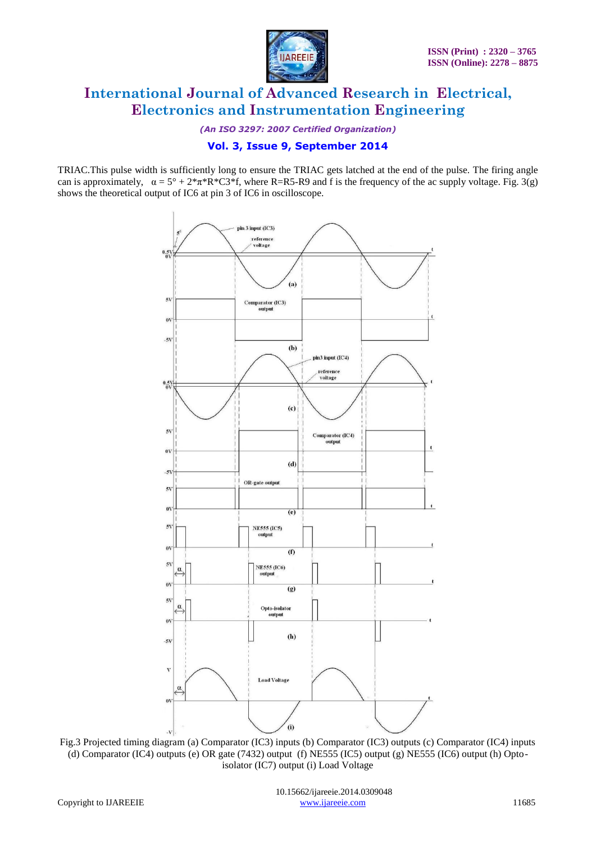

*(An ISO 3297: 2007 Certified Organization)*

### **Vol. 3, Issue 9, September 2014**

TRIAC.This pulse width is sufficiently long to ensure the TRIAC gets latched at the end of the pulse. The firing angle can is approximately,  $\alpha = 5^{\circ} + 2^{*}\pi^{*}R^{*}C3^{*}f$ , where R=R5-R9 and f is the frequency of the ac supply voltage. Fig. 3(g) shows the theoretical output of IC6 at pin 3 of IC6 in oscilloscope.



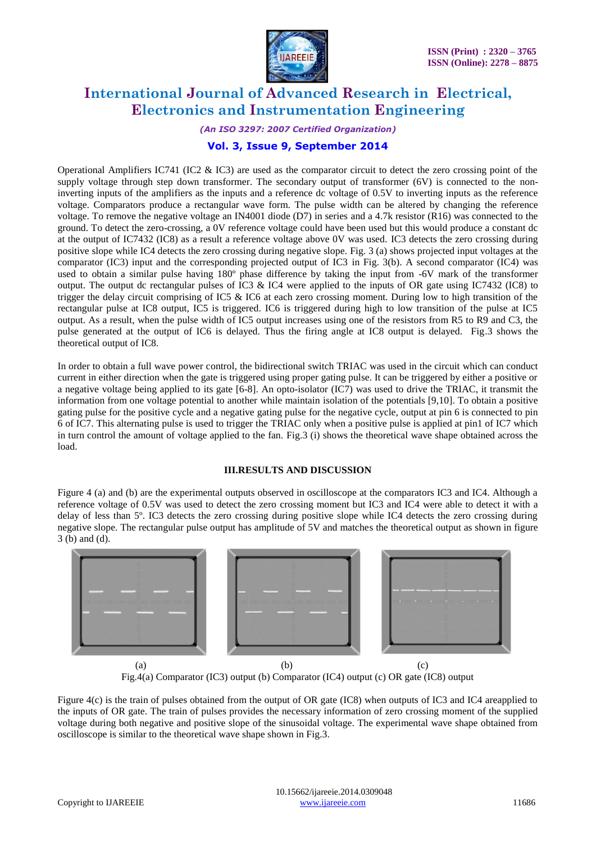

#### *(An ISO 3297: 2007 Certified Organization)*

### **Vol. 3, Issue 9, September 2014**

Operational Amplifiers IC741 (IC2  $\&$  IC3) are used as the comparator circuit to detect the zero crossing point of the supply voltage through step down transformer. The secondary output of transformer (6V) is connected to the noninverting inputs of the amplifiers as the inputs and a reference dc voltage of 0.5V to inverting inputs as the reference voltage. Comparators produce a rectangular wave form. The pulse width can be altered by changing the reference voltage. To remove the negative voltage an IN4001 diode  $(D7)$  in series and a 4.7k resistor (R16) was connected to the ground. To detect the zero-crossing, a 0V reference voltage could have been used but this would produce a constant dc at the output of IC7432 (IC8) as a result a reference voltage above 0V was used. IC3 detects the zero crossing during positive slope while IC4 detects the zero crossing during negative slope. Fig. 3 (a) shows projected input voltages at the comparator (IC3) input and the corresponding projected output of IC3 in Fig. 3(b). A second comparator (IC4) was used to obtain a similar pulse having 180º phase difference by taking the input from -6V mark of the transformer output. The output dc rectangular pulses of IC3 & IC4 were applied to the inputs of OR gate using IC7432 (IC8) to trigger the delay circuit comprising of IC5 & IC6 at each zero crossing moment. During low to high transition of the rectangular pulse at IC8 output, IC5 is triggered. IC6 is triggered during high to low transition of the pulse at IC5 output. As a result, when the pulse width of IC5 output increases using one of the resistors from R5 to R9 and C3, the pulse generated at the output of IC6 is delayed. Thus the firing angle at IC8 output is delayed. Fig.3 shows the theoretical output of IC8.

In order to obtain a full wave power control, the bidirectional switch TRIAC was used in the circuit which can conduct current in either direction when the gate is triggered using proper gating pulse. It can be triggered by either a positive or a negative voltage being applied to its gate [6-8]. An opto-isolator (IC7) was used to drive the TRIAC, it transmit the information from one voltage potential to another while maintain isolation of the potentials [9,10]. To obtain a positive gating pulse for the positive cycle and a negative gating pulse for the negative cycle, output at pin 6 is connected to pin 6 of IC7. This alternating pulse is used to trigger the TRIAC only when a positive pulse is applied at pin1 of IC7 which in turn control the amount of voltage applied to the fan. Fig.3 (i) shows the theoretical wave shape obtained across the load.

#### **III.RESULTS AND DISCUSSION**

Figure 4 (a) and (b) are the experimental outputs observed in oscilloscope at the comparators IC3 and IC4. Although a reference voltage of 0.5V was used to detect the zero crossing moment but IC3 and IC4 were able to detect it with a delay of less than 5º. IC3 detects the zero crossing during positive slope while IC4 detects the zero crossing during negative slope. The rectangular pulse output has amplitude of 5V and matches the theoretical output as shown in figure 3 (b) and (d).



Fig.4(a) Comparator (IC3) output (b) Comparator (IC4) output (c) OR gate (IC8) output

Figure 4(c) is the train of pulses obtained from the output of OR gate (IC8) when outputs of IC3 and IC4 areapplied to the inputs of OR gate. The train of pulses provides the necessary information of zero crossing moment of the supplied voltage during both negative and positive slope of the sinusoidal voltage. The experimental wave shape obtained from oscilloscope is similar to the theoretical wave shape shown in Fig.3.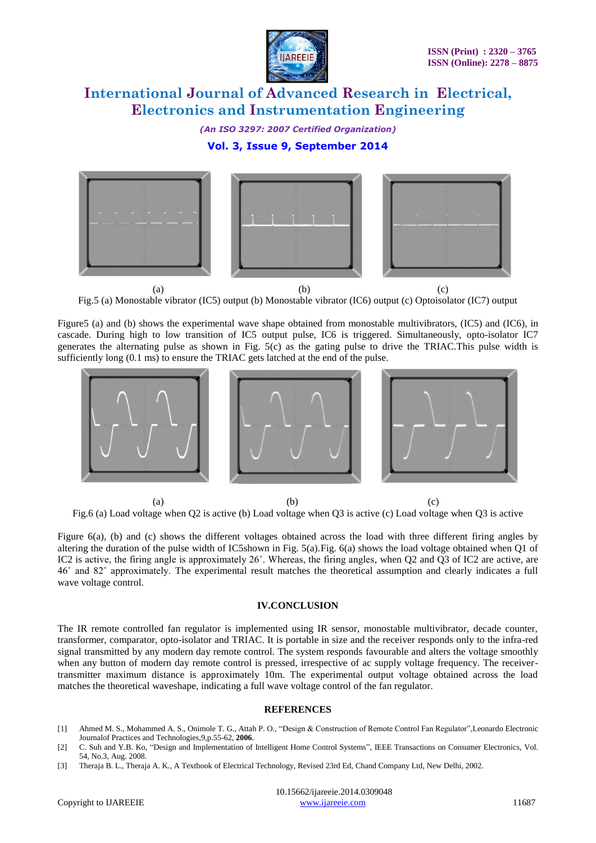

*(An ISO 3297: 2007 Certified Organization)*

### **Vol. 3, Issue 9, September 2014**



Fig.5 (a) Monostable vibrator (IC5) output (b) Monostable vibrator (IC6) output (c) Optoisolator (IC7) output

Figure5 (a) and (b) shows the experimental wave shape obtained from monostable multivibrators, (IC5) and (IC6), in cascade. During high to low transition of IC5 output pulse, IC6 is triggered. Simultaneously, opto-isolator IC7 generates the alternating pulse as shown in Fig. 5(c) as the gating pulse to drive the TRIAC.This pulse width is sufficiently long (0.1 ms) to ensure the TRIAC gets latched at the end of the pulse.



(a) (b) (c) Fig.6 (a) Load voltage when Q2 is active (b) Load voltage when Q3 is active (c) Load voltage when Q3 is active

Figure 6(a), (b) and (c) shows the different voltages obtained across the load with three different firing angles by altering the duration of the pulse width of IC5shown in Fig. 5(a).Fig. 6(a) shows the load voltage obtained when Q1 of IC2 is active, the firing angle is approximately 26˚. Whereas, the firing angles, when Q2 and Q3 of IC2 are active, are 46˚ and 82˚ approximately. The experimental result matches the theoretical assumption and clearly indicates a full wave voltage control.

#### **IV.CONCLUSION**

The IR remote controlled fan regulator is implemented using IR sensor, monostable multivibrator, decade counter, transformer, comparator, opto-isolator and TRIAC. It is portable in size and the receiver responds only to the infra-red signal transmitted by any modern day remote control. The system responds favourable and alters the voltage smoothly when any button of modern day remote control is pressed, irrespective of ac supply voltage frequency. The receivertransmitter maximum distance is approximately 10m. The experimental output voltage obtained across the load matches the theoretical waveshape, indicating a full wave voltage control of the fan regulator.

#### **REFERENCES**

- [1] Ahmed M. S., Mohammed A. S., Onimole T. G., Attah P. O., "Design & Construction of Remote Control Fan Regulator",Leonardo Electronic Journalof Practices and Technologies,9,p.55-62, **2006**.
- [2] C. Suh and Y.B. Ko, "Design and Implementation of Intelligent Home Control Systems", IEEE Transactions on Consumer Electronics, Vol. 54, No.3, Aug. 2008.
- [3] Theraja B. L., Theraja A. K., A Textbook of Electrical Technology, Revised 23rd Ed, Chand Company Ltd, New Delhi, 2002.